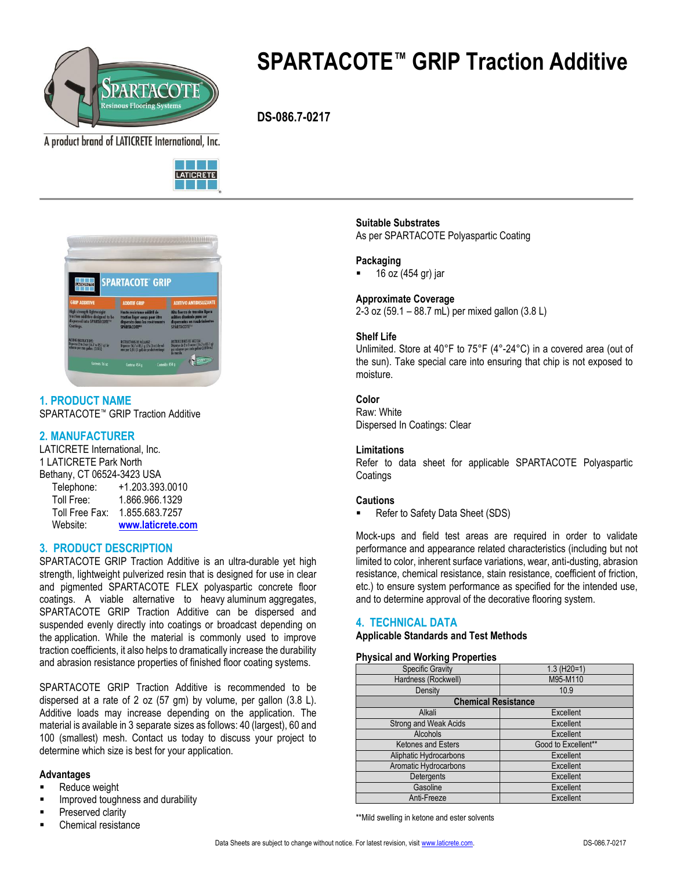

# **SPARTACOTE™ GRIP Traction Additive**

 **DS-086.7-0217**

A product brand of LATICRETE International, Inc.





**1. PRODUCT NAME** SPARTACOTE™ GRIP Traction Additive

# **2. MANUFACTURER**

LATICRETE International, Inc. 1 LATICRETE Park North Bethany, CT 06524-3423 USA Telephone: +1.203.393.0010 Toll Free: 1.866.966.1329 Toll Free Fax: 1.855.683.7257 Website: **[www.laticrete.com](http://www.spartacote.com/)**

# **3. PRODUCT DESCRIPTION**

SPARTACOTE GRIP Traction Additive is an ultra-durable yet high strength, lightweight pulverized resin that is designed for use in clear and pigmented SPARTACOTE FLEX polyaspartic concrete floor coatings. A viable alternative to heavy aluminum aggregates, SPARTACOTE GRIP Traction Additive can be dispersed and suspended evenly directly into coatings or broadcast depending on the application. While the material is commonly used to improve traction coefficients, it also helps to dramatically increase the durability and abrasion resistance properties of finished floor coating systems.

SPARTACOTE GRIP Traction Additive is recommended to be dispersed at a rate of 2 oz (57 gm) by volume, per gallon (3.8 L). Additive loads may increase depending on the application. The material is available in 3 separate sizes as follows: 40 (largest), 60 and 100 (smallest) mesh. Contact us today to discuss your project to determine which size is best for your application.

## **Advantages**

- Reduce weight
- Improved toughness and durability
- Preserved clarity
- Chemical resistance

# **Suitable Substrates**

As per SPARTACOTE Polyaspartic Coating

## **Packaging**

16 oz (454 gr) jar

## **Approximate Coverage**

2-3 oz (59.1 – 88.7 mL) per mixed gallon (3.8 L)

## **Shelf Life**

Unlimited. Store at 40°F to 75°F (4°-24°C) in a covered area (out of the sun). Take special care into ensuring that chip is not exposed to moisture.

# **Color**

Raw: White Dispersed In Coatings: Clear

## **Limitations**

Refer to data sheet for applicable SPARTACOTE Polyaspartic **Coatings** 

## **Cautions**

Refer to Safety Data Sheet (SDS)

Mock-ups and field test areas are required in order to validate performance and appearance related characteristics (including but not limited to color, inherent surface variations, wear, anti-dusting, abrasion resistance, chemical resistance, stain resistance, coefficient of friction, etc.) to ensure system performance as specified for the intended use, and to determine approval of the decorative flooring system.

## **4. TECHNICAL DATA**

## **Applicable Standards and Test Methods**

#### **Physical and Working Properties**

| <b>Specific Gravity</b>    | $1.3$ (H <sub>20</sub> =1) |
|----------------------------|----------------------------|
| Hardness (Rockwell)        | M95-M110                   |
| Density                    | 10.9                       |
| <b>Chemical Resistance</b> |                            |
| Alkali                     | Excellent                  |
| Strong and Weak Acids      | Excellent                  |
| <b>Alcohols</b>            | Excellent                  |
| <b>Ketones and Esters</b>  | Good to Excellent**        |
| Aliphatic Hydrocarbons     | Excellent                  |
| Aromatic Hydrocarbons      | Excellent                  |
| <b>Detergents</b>          | Excellent                  |
| Gasoline                   | Excellent                  |
| Anti-Freeze                | Excellent                  |

\*\*Mild swelling in ketone and ester solvents